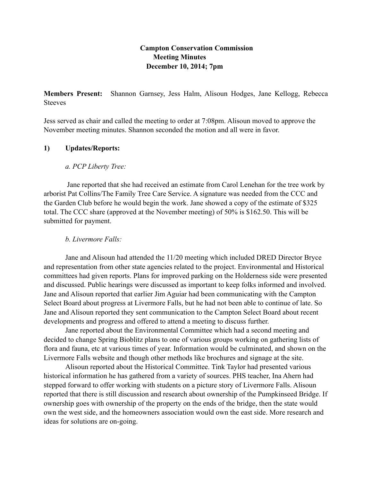# **Campton Conservation Commission Meeting Minutes December 10, 2014; 7pm**

**Members Present:** Shannon Garnsey, Jess Halm, Alisoun Hodges, Jane Kellogg, Rebecca **Steeves** 

Jess served as chair and called the meeting to order at 7:08pm. Alisoun moved to approve the November meeting minutes. Shannon seconded the motion and all were in favor.

## **1) Updates/Reports:**

## *a. PCP Liberty Tree:*

 Jane reported that she had received an estimate from Carol Lenehan for the tree work by arborist Pat Collins/The Family Tree Care Service. A signature was needed from the CCC and the Garden Club before he would begin the work. Jane showed a copy of the estimate of \$325 total. The CCC share (approved at the November meeting) of 50% is \$162.50. This will be submitted for payment.

### *b. Livermore Falls:*

Jane and Alisoun had attended the 11/20 meeting which included DRED Director Bryce and representation from other state agencies related to the project. Environmental and Historical committees had given reports. Plans for improved parking on the Holderness side were presented and discussed. Public hearings were discussed as important to keep folks informed and involved. Jane and Alisoun reported that earlier Jim Aguiar had been communicating with the Campton Select Board about progress at Livermore Falls, but he had not been able to continue of late. So Jane and Alisoun reported they sent communication to the Campton Select Board about recent developments and progress and offered to attend a meeting to discuss further.

Jane reported about the Environmental Committee which had a second meeting and decided to change Spring Bioblitz plans to one of various groups working on gathering lists of flora and fauna, etc at various times of year. Information would be culminated, and shown on the Livermore Falls website and though other methods like brochures and signage at the site.

Alisoun reported about the Historical Committee. Tink Taylor had presented various historical information he has gathered from a variety of sources. PHS teacher, Ina Ahern had stepped forward to offer working with students on a picture story of Livermore Falls. Alisoun reported that there is still discussion and research about ownership of the Pumpkinseed Bridge. If ownership goes with ownership of the property on the ends of the bridge, then the state would own the west side, and the homeowners association would own the east side. More research and ideas for solutions are on-going.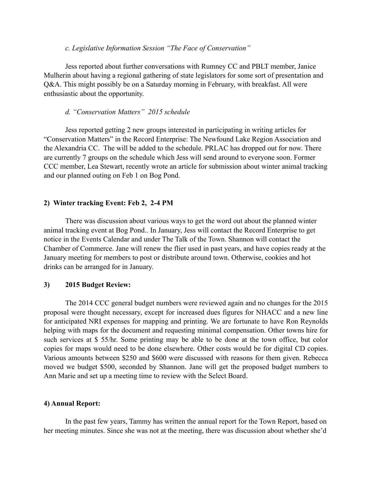### *c. Legislative Information Session "The Face of Conservation"*

Jess reported about further conversations with Rumney CC and PBLT member, Janice Mulherin about having a regional gathering of state legislators for some sort of presentation and Q&A. This might possibly be on a Saturday morning in February, with breakfast. All were enthusiastic about the opportunity.

### *d. "Conservation Matters" 2015 schedule*

Jess reported getting 2 new groups interested in participating in writing articles for "Conservation Matters" in the Record Enterprise: The Newfound Lake Region Association and the Alexandria CC. The will be added to the schedule. PRLAC has dropped out for now. There are currently 7 groups on the schedule which Jess will send around to everyone soon. Former CCC member, Lea Stewart, recently wrote an article for submission about winter animal tracking and our planned outing on Feb 1 on Bog Pond.

### **2) Winter tracking Event: Feb 2, 2-4 PM**

There was discussion about various ways to get the word out about the planned winter animal tracking event at Bog Pond.. In January, Jess will contact the Record Enterprise to get notice in the Events Calendar and under The Talk of the Town. Shannon will contact the Chamber of Commerce. Jane will renew the flier used in past years, and have copies ready at the January meeting for members to post or distribute around town. Otherwise, cookies and hot drinks can be arranged for in January.

### **3) 2015 Budget Review:**

The 2014 CCC general budget numbers were reviewed again and no changes for the 2015 proposal were thought necessary, except for increased dues figures for NHACC and a new line for anticipated NRI expenses for mapping and printing. We are fortunate to have Ron Reynolds helping with maps for the document and requesting minimal compensation. Other towns hire for such services at \$ 55/hr. Some printing may be able to be done at the town office, but color copies for maps would need to be done elsewhere. Other costs would be for digital CD copies. Various amounts between \$250 and \$600 were discussed with reasons for them given. Rebecca moved we budget \$500, seconded by Shannon. Jane will get the proposed budget numbers to Ann Marie and set up a meeting time to review with the Select Board.

### **4) Annual Report:**

In the past few years, Tammy has written the annual report for the Town Report, based on her meeting minutes. Since she was not at the meeting, there was discussion about whether she'd